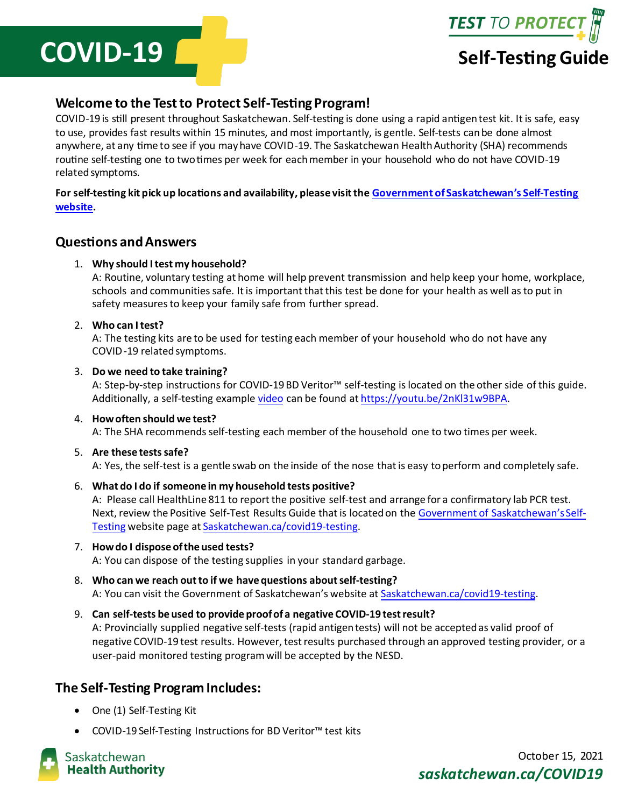



# **Welcome to the Test to Protect Self-Testing Program!**

COVID-19 is still present throughout Saskatchewan. Self-testing is done using a rapid antigen test kit. It is safe, easy to use, provides fast results within 15 minutes, and most importantly, is gentle. Self-tests can be done almost anywhere, at any time to see if you may have COVID-19. The Saskatchewan Health Authority (SHA) recommends routine self-testing one to two times per week for each member in your household who do not have COVID-19 related symptoms.

## **For self-testing kit pick up locations and availability, please visit th[e Government of Saskatchewan's Self](https://www.saskatchewan.ca/government/health-care-administration-and-provider-resources/treatment-procedures-and-guidelines/emerging-public-health-issues/2019-novel-coronavirus/testing-information/rapid-testing)-Testing [website.](https://www.saskatchewan.ca/government/health-care-administration-and-provider-resources/treatment-procedures-and-guidelines/emerging-public-health-issues/2019-novel-coronavirus/testing-information/rapid-testing)**

## **Questions and Answers**

### 1. **Why should I test my household?**

A: Routine, voluntary testing at home will help prevent transmission and help keep your home, workplace, schools and communities safe. It is important that this test be done for your health as well as to put in safety measures to keep your family safe from further spread.

#### 2. **Who can I test?**

A: The testing kits are to be used for testing each member of your household who do not have any COVID-19 related symptoms.

#### 3. **Do we need to take training?**

A: Step-by-step instructions for COVID-19 BD Veritor™ self-testing is located on the other side of this guide. Additionally, a self-testing exampl[e video](https://youtu.be/2nKl31w9BPA) can be found [at https://youtu.be/2nKl31w9BPA](https://youtu.be/2nKl31w9BPA).

#### 4. **How often should we test?**

A: The SHA recommends self-testing each member of the household one to two times per week.

#### 5. **Are these tests safe?**

A: Yes, the self-test is a gentle swab on the inside of the nose that is easy to perform and completely safe.

- 6. **What do I do if someone in my household tests positive?** A: Please call HealthLine 811 to report the positive self-test and arrange for a confirmatory lab PCR test. Next, review the Positive Self-Test Results Guide that is located on the [Government of Saskatchewan's Self](https://www.saskatchewan.ca/government/health-care-administration-and-provider-resources/treatment-procedures-and-guidelines/emerging-public-health-issues/2019-novel-coronavirus/testing-information/rapid-testing)-[Testing](https://www.saskatchewan.ca/government/health-care-administration-and-provider-resources/treatment-procedures-and-guidelines/emerging-public-health-issues/2019-novel-coronavirus/testing-information/rapid-testing) website page a[t Saskatchewan.ca/covid19-testing](https://saskatchewan.ca/covid19-testing).
- 7. **How do I dispose of the used tests?** A: You can dispose of the testing supplies in your standard garbage.
- 8. **Who can we reach out to if we have questions about self-testing?** A: You can visit the Government of Saskatchewan's website at [Saskatchewan.ca/covid19-testing](https://saskatchewan.ca/covid19-testing).
- 9. **Can self-tests be used to provide proof of a negative COVID-19 test result?** A: Provincially supplied negative self-tests (rapid antigen tests) will not be accepted as valid proof of negative COVID-19 test results. However, test results purchased through an approved testing provider, or a user-paid monitored testing program will be accepted by the NESD.

# **The Self-Testing Program Includes:**

- One (1) Self-Testing Kit
- COVID-19 Self-Testing Instructions for BD Veritor™ test kits

Saskatchewan **Health Authority** 

October 15, 2021 *saskatchewan.ca/COVID19*